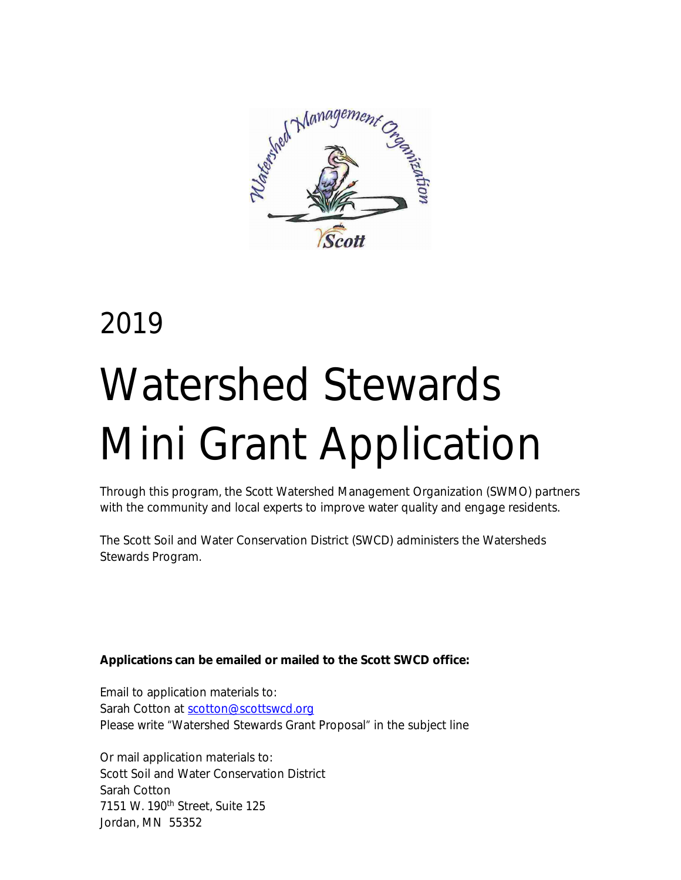

# 2019 Watershed Stewards Mini Grant Application

Through this program, the Scott Watershed Management Organization (SWMO) partners with the community and local experts to improve water quality and engage residents.

The Scott Soil and Water Conservation District (SWCD) administers the Watersheds Stewards Program.

# **[Applications can be emailed or mailed to the Scott SWCD office:](http://www.scottcountymn.gov/wmo/minigrant)**

[Email to application materials to:](http://www.scottcountymn.gov/wmo/minigrant) [Sarah Cotton at](http://www.scottcountymn.gov/wmo/minigrant) [scotton@scottswcd.org](mailto:scotton@scottswcd.org) Please write "Watershed Stewards Grant Proposal" in the subject line

Or mail application materials to: Scott Soil and Water Conservation District Sarah Cotton 7151 W. 190<sup>th</sup> Street, Suite 125 Jordan, MN 55352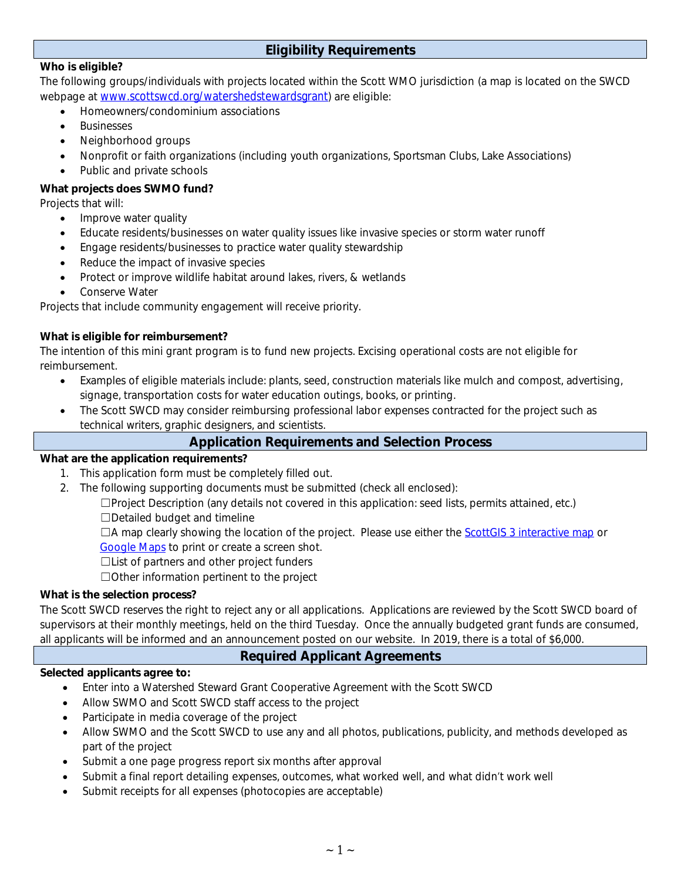# **Eligibility Requirements**

#### **Who is eligible?**

The following groups/individuals with projects located within the Scott WMO jurisdiction (a map is located on the SWCD webpage at [www.scottswcd.org/watershedstewardsgrant](http://www.scottswcd.org/watershedstewardsgrant)) are eligible:

- Homeowners/condominium associations
- Businesses
- Neighborhood groups
- Nonprofit or faith organizations (including youth organizations, Sportsman Clubs, Lake Associations)
- Public and private schools

#### **What projects does SWMO fund?**

Projects that will:

- Improve water quality
- Educate residents/businesses on water quality issues like invasive species or storm water runoff
- Engage residents/businesses to practice water quality stewardship
- Reduce the impact of invasive species
- Protect or improve wildlife habitat around lakes, rivers, & wetlands
- Conserve Water

Projects that include community engagement will receive priority.

#### **What is eligible for reimbursement?**

The intention of this mini grant program is to fund new projects. Excising operational costs are not eligible for reimbursement.

- Examples of eligible materials include: plants, seed, construction materials like mulch and compost, advertising, signage, transportation costs for water education outings, books, or printing.
- The Scott SWCD may consider reimbursing professional labor expenses contracted for the project such as technical writers, graphic designers, and scientists.

## **Application Requirements and Selection Process**

#### **What are the application requirements?**

- 1. This application form must be completely filled out.
- 2. The following supporting documents must be submitted (check all enclosed):

☐Project Description (any details not covered in this application: seed lists, permits attained, etc.) ☐Detailed budget and timeline

 $\Box$ A map clearly showing the location of the project. Please use either the ScottGIS 3 interactive map or [Google Maps](https://www.google.com/maps) to print or create a screen shot.

☐List of partners and other project funders

☐Other information pertinent to the project

#### **What is the selection process?**

The Scott SWCD reserves the right to reject any or all applications. Applications are reviewed by the Scott SWCD board of supervisors at their monthly meetings, held on the third Tuesday. Once the annually budgeted grant funds are consumed, all applicants will be informed and an announcement posted on our website. In 2019, there is a total of \$6,000.

## **Required Applicant Agreements**

#### **Selected applicants agree to:**

- Enter into a Watershed Steward Grant Cooperative Agreement with the Scott SWCD
- Allow SWMO and Scott SWCD staff access to the project
- Participate in media coverage of the project
- Allow SWMO and the Scott SWCD to use any and all photos, publications, publicity, and methods developed as part of the project
- Submit a one page progress report six months after approval
- Submit a final report detailing expenses, outcomes, what worked well, and what didn't work well
- Submit receipts for all expenses (photocopies are acceptable)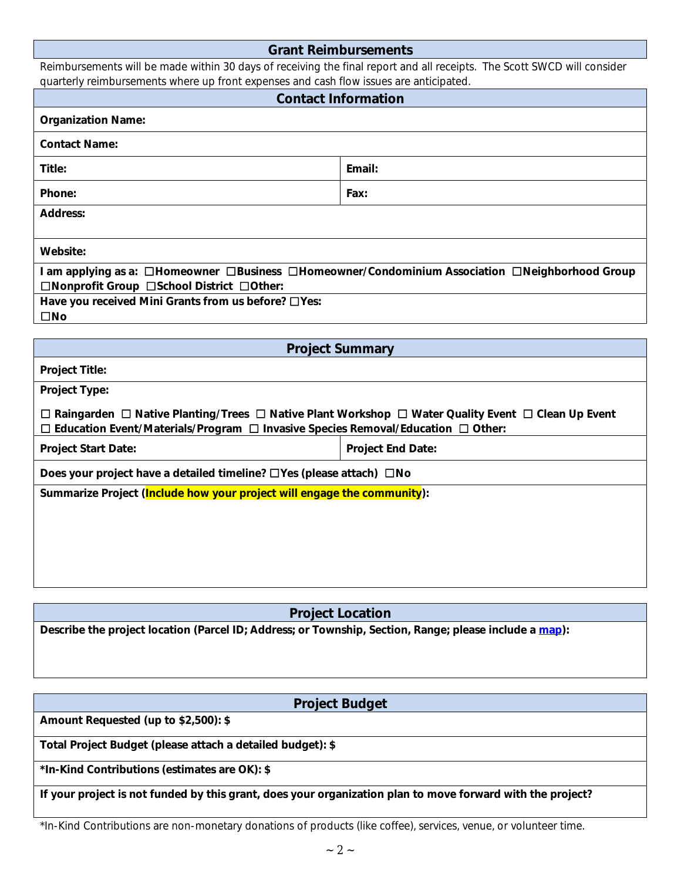#### **Grant Reimbursements**

Reimbursements will be made within 30 days of receiving the final report and all receipts. The Scott SWCD will consider quarterly reimbursements where up front expenses and cash flow issues are anticipated.

| . our notation that the contract of the crip of the cool in the three couples.<br><b>Contact Information</b>                                                                                                                     |                          |  |  |  |
|----------------------------------------------------------------------------------------------------------------------------------------------------------------------------------------------------------------------------------|--------------------------|--|--|--|
| <b>Organization Name:</b>                                                                                                                                                                                                        |                          |  |  |  |
| <b>Contact Name:</b>                                                                                                                                                                                                             |                          |  |  |  |
| Title:                                                                                                                                                                                                                           | Email:                   |  |  |  |
| Phone:                                                                                                                                                                                                                           | Fax:                     |  |  |  |
| <b>Address:</b>                                                                                                                                                                                                                  |                          |  |  |  |
| Website:                                                                                                                                                                                                                         |                          |  |  |  |
| I am applying as a: □Homeowner □Business □Homeowner/Condominium Association □Neighborhood Group<br>□Nonprofit Group □School District □Other:                                                                                     |                          |  |  |  |
| Have you received Mini Grants from us before? □ Yes:<br>$\square$ No                                                                                                                                                             |                          |  |  |  |
|                                                                                                                                                                                                                                  |                          |  |  |  |
| <b>Project Summary</b>                                                                                                                                                                                                           |                          |  |  |  |
| <b>Project Title:</b>                                                                                                                                                                                                            |                          |  |  |  |
| Project Type:                                                                                                                                                                                                                    |                          |  |  |  |
| $\Box$ Raingarden $\Box$ Native Planting/Trees $\Box$ Native Plant Workshop $\Box$ Water Quality Event $\Box$ Clean Up Event<br>$\Box$ Education Event/Materials/Program $\Box$ Invasive Species Removal/Education $\Box$ Other: |                          |  |  |  |
| Project Start Date:                                                                                                                                                                                                              | <b>Project End Date:</b> |  |  |  |
| Does your project have a detailed timeline? □Yes (please attach) □No                                                                                                                                                             |                          |  |  |  |
| Summarize Project (Include how your project will engage the community):                                                                                                                                                          |                          |  |  |  |
|                                                                                                                                                                                                                                  |                          |  |  |  |
|                                                                                                                                                                                                                                  |                          |  |  |  |
|                                                                                                                                                                                                                                  |                          |  |  |  |
|                                                                                                                                                                                                                                  |                          |  |  |  |

**Project Location**

**Describe the project location (Parcel ID; Address; or Township, Section, Range; please include a [map](https://gis.co.scott.mn.us/SG3/?config=internal.json&)):**

## **Project Budget**

**Amount Requested (up to \$2,500): \$**

**Total Project Budget (please attach a detailed budget): \$**

**\*In-Kind Contributions (estimates are OK): \$**

**If your project is not funded by this grant, does your organization plan to move forward with the project?**

\*In-Kind Contributions are non-monetary donations of products (like coffee), services, venue, or volunteer time.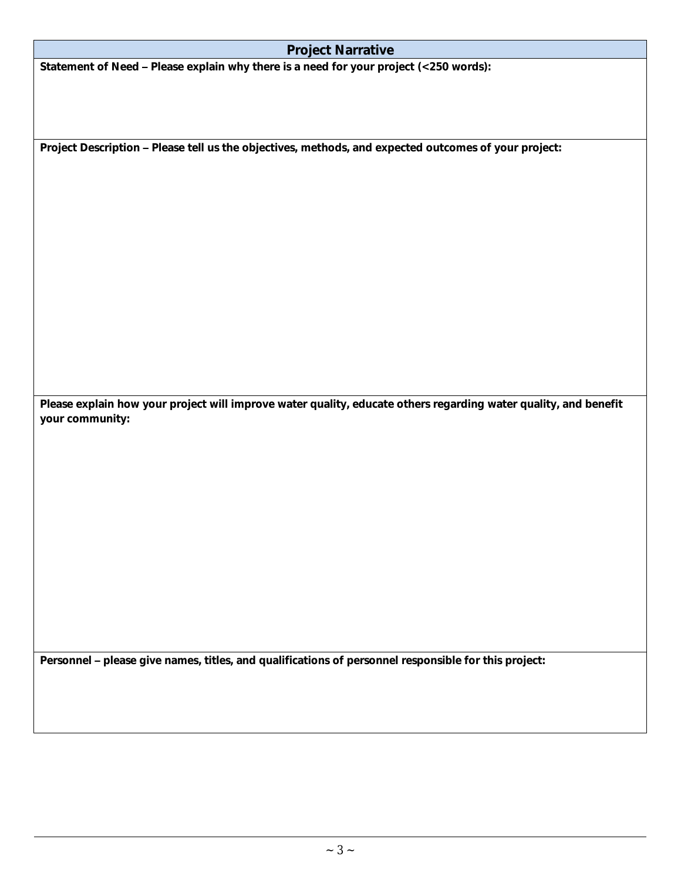| <b>Project Narrative</b> |  |  |
|--------------------------|--|--|
|                          |  |  |

**Statement of Need – Please explain why there is a need for your project (<250 words):**

**Project Description – Please tell us the objectives, methods, and expected outcomes of your project:**

**Please explain how your project will improve water quality, educate others regarding water quality, and benefit your community:**

**Personnel – please give names, titles, and qualifications of personnel responsible for this project:**